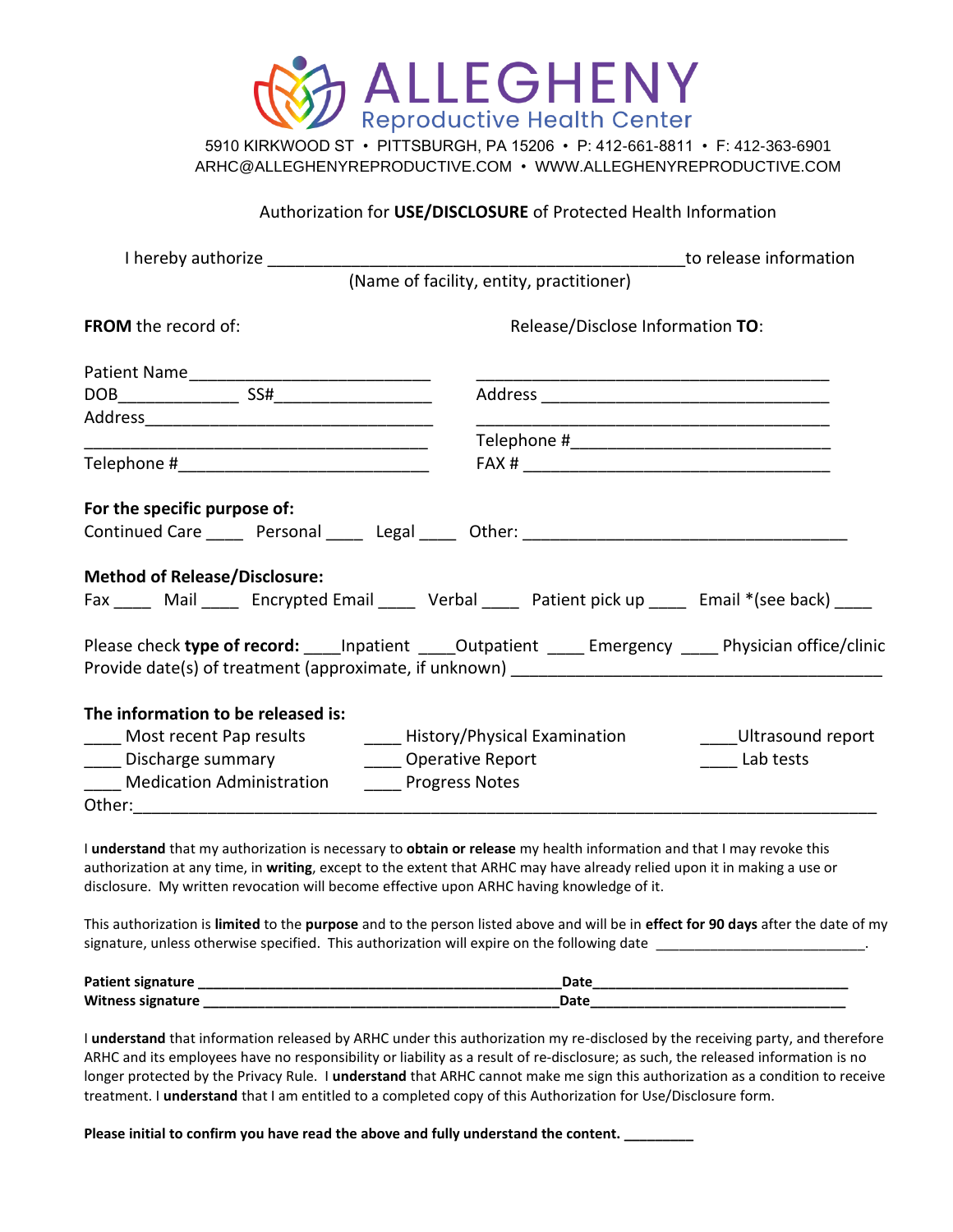

5910 KIRKWOOD ST • PITTSBURGH, PA 15206 • P: 412-661-8811 • F: 412-363-6901 ARHC@ALLEGHENYREPRODUCTIVE.COM • WWW.ALLEGHENYREPRODUCTIVE.COM

## Authorization for **USE/DISCLOSURE** of Protected Health Information

|                                                                                                                                                                                                                               | to release information                                                                                         |
|-------------------------------------------------------------------------------------------------------------------------------------------------------------------------------------------------------------------------------|----------------------------------------------------------------------------------------------------------------|
|                                                                                                                                                                                                                               | (Name of facility, entity, practitioner)                                                                       |
| <b>FROM</b> the record of:                                                                                                                                                                                                    | Release/Disclose Information TO:                                                                               |
|                                                                                                                                                                                                                               |                                                                                                                |
|                                                                                                                                                                                                                               |                                                                                                                |
|                                                                                                                                                                                                                               |                                                                                                                |
|                                                                                                                                                                                                                               |                                                                                                                |
|                                                                                                                                                                                                                               |                                                                                                                |
| For the specific purpose of:<br><b>Method of Release/Disclosure:</b>                                                                                                                                                          | Fax _____ Mail ______ Encrypted Email ______ Verbal ______ Patient pick up ______ Email *(see back) _____      |
|                                                                                                                                                                                                                               | Please check type of record: _____ Inpatient ______ Outpatient ______ Emergency ______ Physician office/clinic |
| The information to be released is:<br>____ Most recent Pap results __________ History/Physical Examination<br>____ Discharge summary _________ Operative Report<br>Medication Administration <b>Communisty</b> Progress Notes | Ultrasound report<br>______ Lab tests                                                                          |

I **understand** that my authorization is necessary to **obtain or release** my health information and that I may revoke this authorization at any time, in **writing**, except to the extent that ARHC may have already relied upon it in making a use or disclosure. My written revocation will become effective upon ARHC having knowledge of it.

This authorization is **limited** to the **purpose** and to the person listed above and will be in **effect for 90 days** after the date of my signature, unless otherwise specified. This authorization will expire on the following date

| Patient signature | Date |
|-------------------|------|
| Witness signature | Date |

I **understand** that information released by ARHC under this authorization my re-disclosed by the receiving party, and therefore ARHC and its employees have no responsibility or liability as a result of re-disclosure; as such, the released information is no longer protected by the Privacy Rule. I **understand** that ARHC cannot make me sign this authorization as a condition to receive treatment. I **understand** that I am entitled to a completed copy of this Authorization for Use/Disclosure form.

Please initial to confirm you have read the above and fully understand the content. \_\_\_\_\_